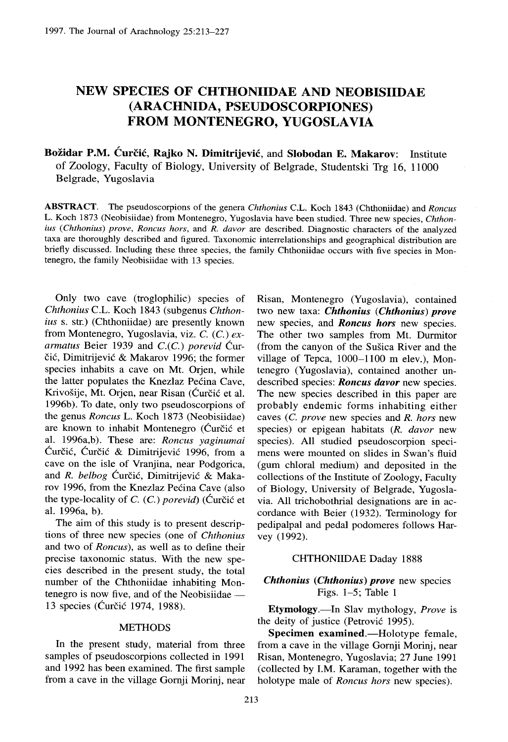# **NEW SPECIES OF CHTHONIIDAE AND NEOBISIIDAE** (ARACHNIDA, **PSEUDOSCORPIONES) FROM MONTENEGRO, YUGOSLAVIA**

# **Božidar P.M. Ćurčić, Rajko N. Dimitrijević, and Slobodan E. Makarov:** Institute of Zoology, Faculty of Biology, University of Belgrade, Studentski Trg 16, 11000 Belgrade, Yugoslavia

**ABSTRACT .** The pseudoscorpions of the genera *Chthonius* <sup>C</sup> .L. Koch 1843 (Chthoniidae) and *Roncus* L. Koch 1873 (Neobisiidae) from Montenegro, Yugoslavia have been studied . Three new species, *Chthonius* (Chthonius) prove, Roncus hors, and R. davor are described. Diagnostic characters of the analyzed taxa are thoroughly described and figured. Taxonomic interrelationships and geographical distribution are briefly discussed. Including these three species, the family Chthoniidae occurs with five species in Montenegro, the family Neobisiidae with 13 species .

Only two cave (troglophilic) species of *Chthonius* C.L. Koch 1843 (subgenus *Chthonius s.* str.) (Chthoniidae) are presently known from Montenegro, Yugoslavia, viz. C. (C.) ex*armatus* Beier 1939 and C.(C.) *porevid* Curčić, Dimitrijević & Makarov 1996; the former species inhabits a cave on Mt. Orjen, while the latter populates the Knezlaz Pecina Cave, Krivošije, Mt. Orjen, near Risan (Ćurčić et al. 1996b). To date, only two pseudoscorpions of the genus *Roncus* L. Koch 1873 (Neobisiidae) are known to inhabit Montenegro (Ćurčić et al. 1996a,b). These are: *Roncus yaginumai* Curcic, Curcic & Dimitrijevic 1996, from a cave on the isle of Vranjina, near Podgorica, and *R. belbog* Ćurčić, Dimitrijević & Makarov 1996, from the Knezlaz Pećina Cave (also the type-locality of  $C$ .  $(C)$  *porevid* $)$  (Curcic et al. 1996a, b).

The aim of this study is to present descriptions of three new species (one of *Chthonius* and two of *Roncus),* as well as to define their precise taxonomic status. With the new species described in the present study, the total number of the Chthoniidae inhabiting Montenegro is now five, and of the Neobisiidae — 13 species (Ćurčić 1974, 1988).

## METHODS

In the present study, material from three samples of pseudoscorpions collected in 1991 and 1992 has been examined. The first sample from a cave in the village Gornji Morinj, near Risan, Montenegro (Yugoslavia), containe d two new taxa: *Chthonius (Chthonius) prove* new species, and *Roncus hors* new species. The other two samples from Mt. Durmitor (from the canyon of the Susica River and the village of Tepca, 1000–1100 m elev.), Montenegro (Yugoslavia), contained another undescribed species: *Roncus davor* new species. The new species described in this paper are probably endemic forms inhabiting either caves *(C. prove* new species and *R. hors* new species) or epigean habitats *(R. davor* new species). All studied pseudoscorpion specimens were mounted on slides in Swan's fluid (gum chloral medium) and deposited in the collections of the Institute of Zoology, Faculty of Biology, University of Belgrade, Yugoslavia. All trichobothrial designations are in accordance with Beier (1932). Terminology for pedipalpal and pedal podomeres follows Harvey (1992).

#### CHTHONIIDAE Daday 1888

# *Chthonius (Chthonius) prove* new species Figs. 1–5; Table <sup>1</sup>

**Etymology .—In** Slav mythology, *Prove i <sup>s</sup>* the deity of justice (Petrović 1995).

**Specimen examined.**—Holotype female, from a cave in the village Gornji Morinj, near Risan, Montenegro, Yugoslavia; 27 June 1991 (collected by I.M. Karaman, together with the holotype male of *Roncus hors* new species).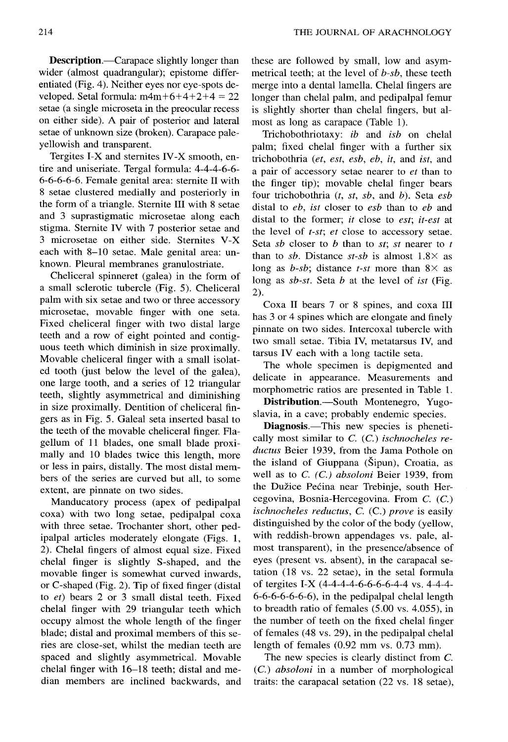Description.—Carapace slightly longer than wider (almost quadrangular); epistome differentiated (Fig. 4). Neither eyes nor eye-spots developed. Setal formula:  $m4m+6+4+2+4 = 22$ setae (a single microseta in the preocular recess on either side). A pair of posterior and lateral setae of unknown size (broken). Carapace pale yellowish and transparent.

Tergites I-X and sternites IV-X smooth, entire and uniseriate. Tergal formula: 4-4-4-6-6-6-6-6-6-6 . Female genital area: sternite II with 8 setae clustered medially and posteriorly in the form of a triangle. Sternite III with 8 setae and 3 suprastigmatic microsetae along each stigma. Sternite IV with 7 posterior setae and 3 microsetae on either side . Sternites V-X each with 8–10 setae. Male genital area: unknown. Pleural membranes granulostriate.

Cheliceral spinneret (galea) in the form of a small sclerotic tubercle (Fig. 5). Cheliceral palm with six setae and two or three accessory microsetae, movable finger with one seta. Fixed cheliceral finger with two distal large teeth and a row of eight pointed and contiguous teeth which diminish in size proximally. Movable cheliceral finger with a small isolated tooth (just below the level of the galea), one large tooth, and a series of 12 triangular teeth, slightly asymmetrical and diminishing in size proximally. Dentition of cheliceral fingers as in Fig. 5. Galeal seta inserted basal to the teeth of the movable cheliceral finger. Flagellum of 11 blades, one small blade proximally and 10 blades twice this length, more or less in pairs, distally. The most distal members of the series are curved but all, to some extent, are pinnate on two sides.

Manducatory process (apex of pedipalpal coxa) with two long setae, pedipalpal coxa with three setae. Trochanter short, other pedipalpal articles moderately elongate (Figs. 1, 2). Chelal fingers of almost equal size . Fixed chelal finger is slightly S-shaped, and the movable finger is somewhat curved inwards, or C-shaped (Fig. 2). Tip of fixed finger (distal to *et*) bears 2 or 3 small distal teeth. Fixed chelal finger with 29 triangular teeth which occupy almost the whole length of the finger blade; distal and proximal members of this series are close-set, whilst the median teeth are spaced and slightly asymmetrical. Movable chelal finger with  $16-18$  teeth; distal and median members are inclined backwards, and

these are followed by small, low and asymmetrical teeth; at the level of *b-sb,* these teeth merge into a dental lamella. Chelal fingers are longer than chelal palm, and pedipalpal femur is slightly shorter than chelal fingers, but almost as long as carapace (Table 1).

Trichobothriotaxy: *ib* and *isb* on chelal palm; fixed chelal finger with a further six trichobothria *(et, est, esb, eb, it,* and *ist,* and a pair of accessory setae nearer to *et* than to the finger tip); movable chelal finger bears four trichobothria *(t, st, sb,* and *b) .* Seta *esb* distal to *eb, ist* closer to *esb* than to *eb* and distal to the former; *it* close to *est*; *it-est* at the level of *t-st*; et close to accessory setae. Seta *sb* closer to *b* than to *st; st* nearer to *t* than to *sb*. Distance  $st$ -sb is almost  $1.8 \times$  as long as *b-sb*; distance *t-st* more than  $8 \times$  as long as *sb-st.* Seta *b* at the level of *ist* (Fig. 2) .

Coxa II bears 7 or 8 spines, and coxa III has 3 or 4 spines which are elongate and finely pinnate on two sides. Intercoxal tubercle with two small setae. Tibia IV, metatarsus IV, and tarsus IV each with a long tactile seta.

The whole specimen is depigmented and delicate in appearance. Measurements and morphometric ratios are presented in Table 1.

**Distribution.—South** Montenegro, Yugoslavia, in a cave; probably endemic species .

**Diagnosis .**—This new species is phenetically most similar to C. (C.) *ischnocheles reductus* Beier 1939, from the Jama Pothole on the island of Giuppana ( $\check{S}$ ipun), Croatia, as well as to C. (C.) *absoloni* Beier 1939, from the Dužice Pećina near Trebinje, south Hercegovina, Bosnia-Hercegovina. From C. (C. ) *ischnocheles reductus, C. (C.) prove is* easily distinguished by the color of the body (yellow, with reddish-brown appendages vs. pale, almost transparent), in the presence/absence of eyes (present vs. absent), in the carapacal setation (18 vs. 22 setae), in the setal formula of tergites I-X (4-4-4-4-6-6-6-6-4-4 vs . 4-4-4-  $6-6-6-6-6-6$ , in the pedipalpal chelal length to breadth ratio of females (5 .00 vs . 4.055), in the number of teeth on the fixed chelal finger of females (48 vs . 29), in the pedipalpal chelal length of females  $(0.92$  mm vs.  $0.73$  mm).

The new species is clearly distinct from C. (C.) *absoloni* in a number of morphological traits: the carapacal setation  $(22 \text{ vs. } 18 \text{ setae})$ ,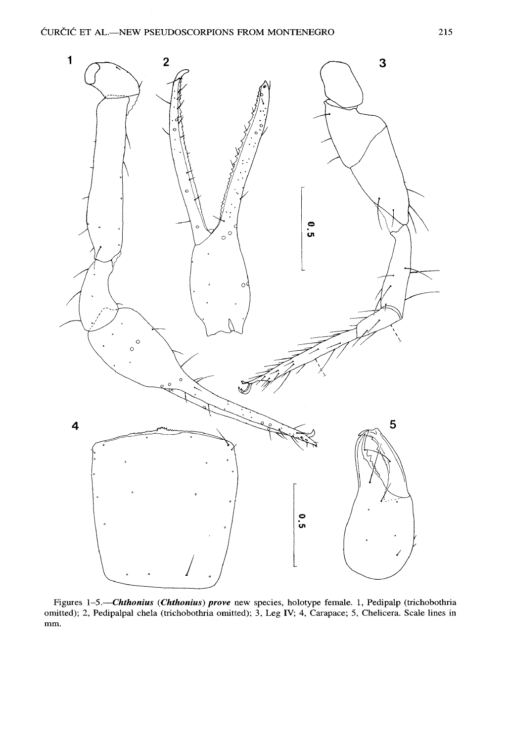

Figures 1-5.-Chthonius (Chthonius) prove new species, holotype female. 1, Pedipalp (trichobothria omitted); 2, Pedipalpal chela (trichobothria omitted); 3, Leg IV; 4, Carapace; 5, Chelicera. Scale lines in mm.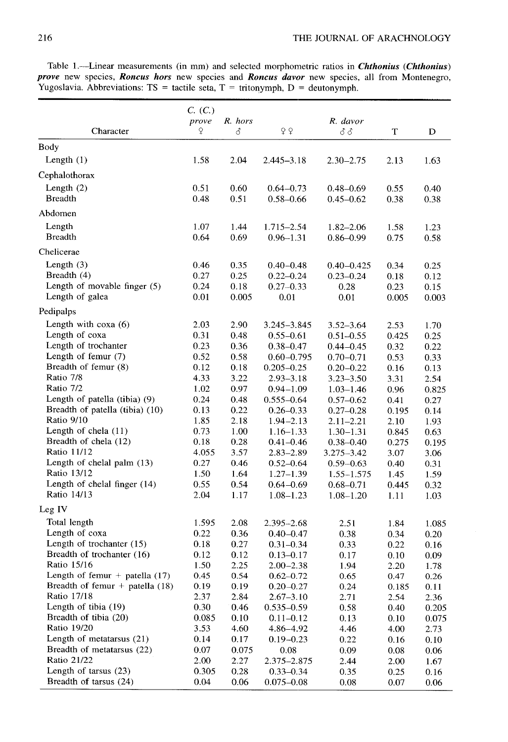|                                            | C. (C.)      |               |                       |                |              |              |  |
|--------------------------------------------|--------------|---------------|-----------------------|----------------|--------------|--------------|--|
|                                            | prove        | R. hors       |                       | R. davor       |              |              |  |
| Character                                  | ¥            | 8             | ¥Ϋ                    | δδ             | Т            | D            |  |
| Body                                       |              |               |                       |                |              |              |  |
| Length $(1)$                               | 1.58         | 2.04          | $2.445 - 3.18$        | $2.30 - 2.75$  | 2.13         | 1.63         |  |
|                                            |              |               |                       |                |              |              |  |
| Cephalothorax                              |              |               |                       |                |              |              |  |
| Length $(2)$                               | 0.51         | 0.60          | $0.64 - 0.73$         | $0.48 - 0.69$  | 0.55         | 0.40         |  |
| <b>Breadth</b>                             | 0.48         | 0.51          | $0.58 - 0.66$         | $0.45 - 0.62$  | 0.38         | 0.38         |  |
| Abdomen                                    |              |               |                       |                |              |              |  |
| Length                                     | 1.07         | 1.44          | $1.715 - 2.54$        | $1.82 - 2.06$  | 1.58         | 1.23         |  |
| <b>Breadth</b>                             | 0.64         | 0.69          | $0.96 - 1.31$         | $0.86 - 0.99$  | 0.75         | 0.58         |  |
| Chelicerae                                 |              |               |                       |                |              |              |  |
| Length $(3)$                               | 0.46         | 0.35          | $0.40 - 0.48$         | $0.40 - 0.425$ | 0.34         | 0.25         |  |
| Breadth (4)                                | 0.27         | 0.25          | $0.22 - 0.24$         | $0.23 - 0.24$  | 0.18         | 0.12         |  |
| Length of movable finger (5)               | 0.24         | 0.18          | $0.27 - 0.33$         | 0.28           | 0.23         | 0.15         |  |
| Length of galea                            | 0.01         | 0.005         | 0.01                  | 0.01           | 0.005        | 0.003        |  |
| Pedipalps                                  |              |               |                       |                |              |              |  |
| Length with $\cos(\theta)$                 | 2.03         | 2.90          | 3.245-3.845           | $3.52 - 3.64$  | 2.53         | 1.70         |  |
| Length of coxa                             | 0.31         | 0.48          | $0.55 - 0.61$         | $0.51 - 0.55$  | 0.425        | 0.25         |  |
| Length of trochanter                       | 0.23         | 0.36          | $0.38 - 0.47$         | $0.44 - 0.45$  | 0.32         | 0.22         |  |
| Length of femur $(7)$                      | 0.52         | 0.58          | $0.60 - 0.795$        | $0.70 - 0.71$  | 0.53         | 0.33         |  |
| Breadth of femur (8)                       | 0.12         | 0.18          | $0.205 - 0.25$        | $0.20 - 0.22$  | 0.16         | 0.13         |  |
| Ratio 7/8                                  | 4.33         | 3.22          | $2.93 - 3.18$         | $3.23 - 3.50$  | 3.31         | 2.54         |  |
| Ratio 7/2                                  | 1.02         | 0.97          | $0.94 - 1.09$         | $1.03 - 1.46$  | 0.96         | 0.825        |  |
| Length of patella (tibia) (9)              | 0.24         | 0.48          | $0.555 - 0.64$        | $0.57 - 0.62$  | 0.41         | 0.27         |  |
| Breadth of patella (tibia) (10)            | 0.13         | 0.22          | $0.26 - 0.33$         | $0.27 - 0.28$  | 0.195        | 0.14         |  |
| Ratio 9/10                                 | 1.85         | 2.18          | $1.94 - 2.13$         | $2.11 - 2.21$  | 2.10         | 1.93         |  |
| Length of chela $(11)$                     | 0.73         | 1.00          | $1.16 - 1.33$         | $1.30 - 1.31$  | 0.845        | 0.63         |  |
| Breadth of chela (12)                      | 0.18         | 0.28          | $0.41 - 0.46$         | $0.38 - 0.40$  | 0.275        | 0.195        |  |
| Ratio 11/12                                | 4.055        | 3.57          | $2.83 - 2.89$         | 3.275–3.42     | 3.07         | 3.06         |  |
| Length of chelal palm (13)                 | 0.27         | 0.46          | $0.52 - 0.64$         | $0.59 - 0.63$  | 0.40         | 0.31         |  |
| Ratio 13/12                                | 1.50         | 1.64          | $1.27 - 1.39$         | $1.55 - 1.575$ | 1.45         | 1.59         |  |
| Length of chelal finger (14)               | 0.55         | 0.54          | $0.64 - 0.69$         | $0.68 - 0.71$  | 0.445        | 0.32         |  |
| Ratio 14/13                                | 2.04         | 1.17          | $1.08 - 1.23$         | $1.08 - 1.20$  | 1.11         | 1.03         |  |
| Leg IV                                     |              |               |                       |                |              |              |  |
| Total length                               | 1.595        | 2.08          | 2.395 - 2.68          | 2.51           | 1.84         | 1.085        |  |
| Length of coxa                             | 0.22         | 0.36          | $0.40 - 0.47$         | 0.38           | 0.34         | 0.20         |  |
| Length of trochanter (15)                  | 0.18         | 0.27          | $0.31 - 0.34$         | 0.33           | 0.22         | 0.16         |  |
| Breadth of trochanter (16)                 | 0.12         | 0.12          | $0.13 - 0.17$         | 0.17           | 0.10         | 0.09         |  |
| Ratio 15/16                                | 1.50         | 2.25          | 2.00–2.38             | 1.94           | 2.20         | 1.78         |  |
| Length of femur + patella $(17)$           | 0.45         | 0.54          | $0.62 - 0.72$         | 0.65           | 0.47         | 0.26         |  |
| Breadth of femur + patella $(18)$          | 0.19         | 0.19          | $0.20 - 0.27$         | 0.24           | 0.185        | 0.11         |  |
| Ratio 17/18                                | 2.37         | 2.84          | $2.67 - 3.10$         | 2.71           | 2.54         | 2.36         |  |
| Length of tibia $(19)$                     | 0.30         | 0.46          | $0.535 - 0.59$        | 0.58           | 0.40         | 0.205        |  |
| Breadth of tibia (20)                      | 0.085        | 0.10          | $0.11 - 0.12$         | 0.13           | 0.10         | 0.075        |  |
| Ratio 19/20<br>Length of metatarsus $(21)$ | 3.53         | 4.60          | 4.86-4.92             | 4.46           | 4.00         | 2.73         |  |
| Breadth of metatarsus (22)                 | 0.14<br>0.07 | 0.17<br>0.075 | $0.19 - 0.23$<br>0.08 | 0.22           | 0.16         | 0.10         |  |
| Ratio 21/22                                | 2.00         | 2.27          | 2.375-2.875           | 0.09<br>2.44   | 0.08         | 0.06         |  |
| Length of tarsus $(23)$                    | 0.305        | 0.28          | $0.33 - 0.34$         | 0.35           | 2.00<br>0.25 | 1.67<br>0.16 |  |
| Breadth of tarsus (24)                     | 0.04         | 0.06          | $0.075 - 0.08$        | 0.08           | 0.07         | 0.06         |  |
|                                            |              |               |                       |                |              |              |  |

Table 1.-Linear measurements (in mm) and selected morphometric ratios in *Chthonius (Chthonius) prove* new species, *Roncus hors* new species and *Roncus davor* new species, all from Montenegro, Yugoslavia. Abbreviations:  $TS =$  tactile seta,  $T =$  tritonymph,  $D =$  deutonymph.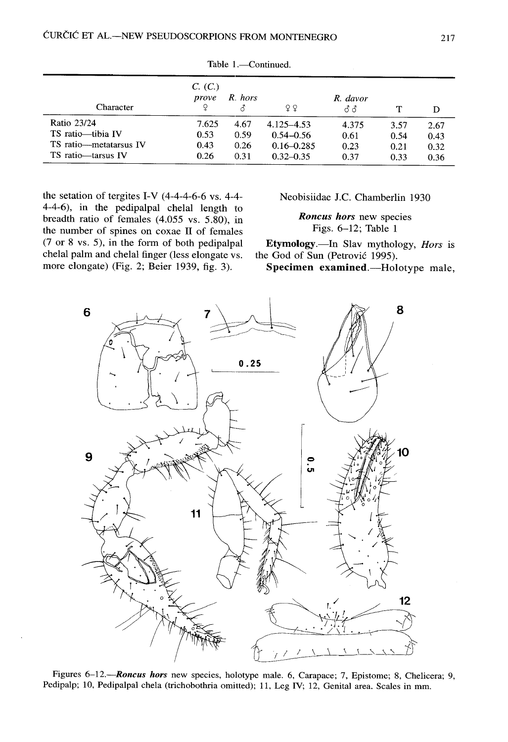| Character              | C. (C.)<br>prove | R. hors | 99             | R. davor<br>ಕೆಕೆ |      | D    |
|------------------------|------------------|---------|----------------|------------------|------|------|
| Ratio 23/24            | 7.625            | 4.67    | 4.125–4.53     | 4.375            | 3.57 | 2.67 |
| TS ratio-tibia IV      | 0.53             | 0.59    | $0.54 - 0.56$  | 0.61             | 0.54 | 0.43 |
| TS ratio-metatarsus IV | 0.43             | 0.26    | $0.16 - 0.285$ | 0.23             | 0.21 | 0.32 |
| TS ratio-tarsus IV     | 0.26             | 0.31    | $0.32 - 0.35$  | 0.37             | 0.33 | 0.36 |

Table 1.-Continued.

the setation of tergites I-V  $(4-4-4-6-6$  vs. 4-4-4-4-6), in the pedipalpal chelal length to breadth ratio of females (4.055 vs. 5.80), in the number of spines on coxae II of females  $(7 \text{ or } 8 \text{ vs. } 5)$ , in the form of both pedipalpal chelal palm and chelal finger (less elongate vs. more elongate) (Fig. 2; Beier 1939, fig. 3).

Neobisiidae J.C. Chamberlin 1930

*Roncus hors* new species Figs. 6–12; Table <sup>1</sup>

**Etymology.—In** Slav mythology, *Hors* is the God of Sun (Petrović 1995).

**Specimen examined** .- Holotype male,



Figures 6-12.-**Roncus hors** new species, holotype male. 6, Carapace; 7, Epistome; 8, Chelicera; 9, Pedipalp; 10, Pedipalpal chela (trichobothria omitted); 11, Leg IV; 12, Genital area. Scales in mm.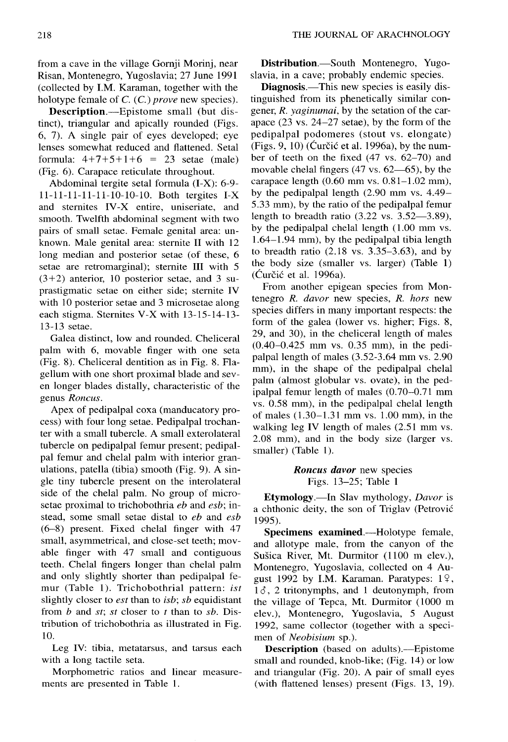from a cave in the village Gornji Morinj, near Risan, Montenegro, Yugoslavia; 27 June 199 <sup>1</sup> (collected by I.M. Karaman, together with the holotype female of C. (C.) *prove* new species).

**Description.**—Epistome small (but distinct), triangular and apically rounded (Figs. 6, 7). A single pair of eyes developed; eye lenses somewhat reduced and flattened. Setal formula:  $4+7+5+1+6 = 23$  setae (male) (Fig. 6). Carapace reticulate throughout.

Abdominal tergite setal formula  $(I-X)$ : 6-9-11-11-11-11-11-10-10-10. Both tergites I-X and sternites IV-X entire, uniseriate, and smooth. Twelfth abdominal segment with two pairs of small setae . Female genital area: unknown. Male genital area: sternite  $II$  with  $12$ long median and posterior setae (of these, <sup>6</sup> setae are retromarginal); sternite III with 5  $(3+2)$  anterior, 10 posterior setae, and 3 suprastigmatic setae on either side; sternite IV with 10 posterior setae and 3 microsetae along each stigma. Sternites V-X with  $13-15-14-13-$ 13-13 setae .

Galea distinct, low and rounded. Cheliceral palm with 6, movable finger with one seta (Fig. 8). Cheliceral dentition as in Fig. 8. Flagellum with one short proximal blade and sev en longer blades distally, characteristic of the genus *Roncus .*

Apex of pedipalpal coxa (manducatory process) with four long setae . Pedipalpal trochan ter with a small tubercle . A small exterolateral tubercle on pedipalpal femur present; pedipal pal femur and chelal palm with interior granulations, patella (tibia) smooth (Fig. 9). A single tiny tubercle present on the interolateral side of the chelal palm. No group of microsetae proximal to trichobothria *eb* and *esb;* instead, some small setae distal to *eb* and *esb (6–8)* present. Fixed chelal finger with 47 small, asymmetrical, and close-set teeth; movable finger with 47 small and contiguous teeth. Chelal fingers longer than chelal palm and only slightly shorter than pedipalpal femur (Table 1). Trichobothrial pattern: *ist* slightly closer to *est* than to *isb*; *sb* equidistant from *b* and *st; st* closer to *<sup>t</sup>* than to *sb .* Distribution of trichobothria as illustrated in Fig. 10.

Leg IV: tibia, metatarsus, and tarsus each with a long tactile seta.

Morphometric ratios and linear measurements are presented in Table 1.

**Distribution.**—South Montenegro, Yugoslavia, in a cave; probably endemic species .

**Diagnosis .**—This new species is easily distinguished from its phenetically similar congener, *R. yaginumai,* by the setation of the carapace  $(23 \text{ vs. } 24-27 \text{ setae})$ , by the form of the pedipalpal podomeres (stout vs. elongate) (Figs. 9, 10) (Curčić et al. 1996a), by the number of teeth on the fixed (47 vs. 62–70) and movable chelal fingers  $(47 \text{ vs. } 62 \rightarrow 65)$ , by the carapace length  $(0.60$  mm vs.  $0.81-1.02$  mm), by the pedipalpal length  $(2.90 \text{ mm vs. } 4.49-$ 5.33 mm), by the ratio of the pedipalpal femur length to breadth ratio  $(3.22 \text{ vs. } 3.52 \rightarrow 3.89)$ , by the pedipalpal chelal length (1.00 mm vs.) <sup>1</sup> .64–1 .94 mm), by the pedipalpal tibia length to breadth ratio  $(2.18 \text{ vs. } 3.35-3.63)$ , and by the body size (smaller vs. larger) (Table 1)  $(Cur\check{c}i\acute{c}$  et al. 1996a).

From another epigean species from Montenegro *R. davor* new species, *R. hors* new species differs in many important respects: the form of the galea (lower vs. higher; Figs. 8, 29, and 30), in the cheliceral length of males (0.40–0.425 mm vs. 0.35 mm), in the pedipalpal length of males  $(3.52-3.64$  mm vs. 2.90 mm), in the shape of the pedipalpal chelal palm (almost globular vs. ovate), in the pedipalpal femur length of males (0.70–0.71 mm vs. 0.58 mm), in the pedipalpal chelal length of males  $(1.30-1.31 \text{ mm} \text{ vs. } 1.00 \text{ mm})$ , in the walking leg IV length of males (2.51 mm vs. 2.08 mm), and in the body size (larger vs. smaller) (Table 1).

> *Roncus davor* new species Figs. 13–25; Table 1

**Etymology.—In** Slav mythology, *Davor i <sup>s</sup>* a chthonic deity, the son of Triglav (Petrović 1995).

**Specimens examined.—Holotype female,** and allotype male, from the canyon of the Sušica River, Mt. Durmitor (1100 m elev.), Montenegro, Yugoslavia, collected on 4 August 1992 by I.M. Karaman. Paratypes:  $1\frac{9}{5}$ , gust 1992 by I.M. Karaman. Paratypes: 1<sup>2</sup>, 13, 2 tritonymphs, and 1 deutonymph, from the village of Tepca, Mt. Durmitor (1000 m elev.), Montenegro, Yugoslavia, 5 August 1992, same collector (together with a specimen of *N* the village of Tepca, Mt. Durmitor (1000 m elev.), Montenegro, Yugoslavia, 5 August 1992, same collector (together with a specimen of *Neobisium* sp.).

small and rounded, knob-like; (Fig. 14) or low and triangular (Fig.  $20$ ). A pair of small eyes (with flattened lenses) present (Figs. 13, 19).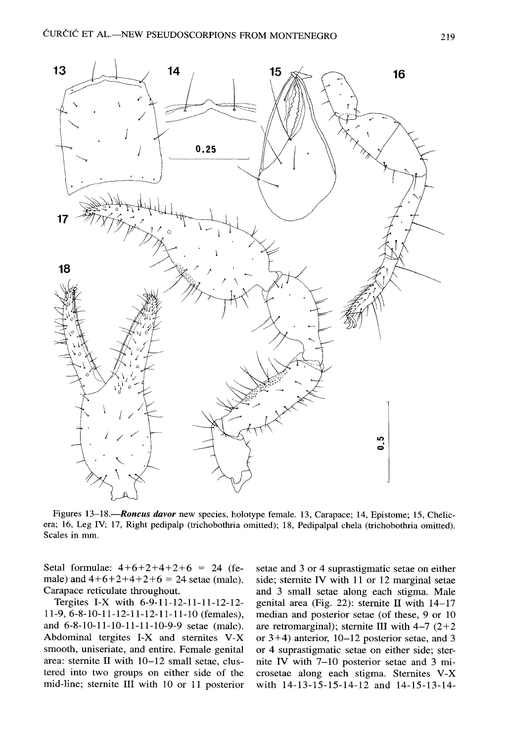

Figures 13-18.—Roncus davor new species, holotype female. 13, Carapace; 14, Epistome; 15, Chelicera; 16, Leg IV; 17, Right pedipalp (trichobothria omitted); 18, Pedipalpal chela (trichobothria omitted). Scales in mm.

Setal formulae:  $4+6+2+4+2+6 = 24$  (female) and  $4+6+2+4+2+6 = 24$  setae (male). Carapace reticulate throughout.

Tergites I-X with 6-9-11-12-11-11-12-12- 11-9, 6-8-10-11-12-11-12-11-11-10 (females) , and 6-8-10-11-10-11-11-10-9-9 setae (male). Abdominal tergites I-X and sternites  $V-X$ smooth, uniseriate, and entire. Female genital area: sternite II with 10–12 small setae, clustered into two groups on either side of the mid-line; sternite III with 10 or 11 posterior setae and 3 or 4 suprastigmatic setae on either side; sternite IV with 11 or 12 marginal setae and 3 small setae along each stigma. Male genital area (Fig. 22): sternite II with  $14-17$ median and posterior setae (of these, 9 or 10 are retromarginal); sternite III with  $4-7$   $(2+2)$ or 3+4) anterior, 10–12 posterior setae, and 3 or 4 suprastigmatic setae on either side; sternite IV with 7–10 posterior setae and 3 microsetae along each stigma. Sternites V-X with 14-13-15-15-14-12 and 14-15-13-14-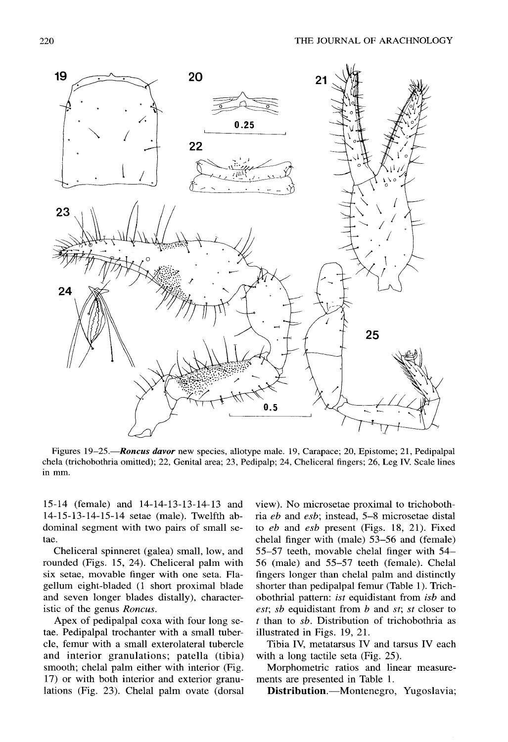

Figures 19–25.—**Roncus davor** new species, allotype male. 19, Carapace; 20, Epistome; 21, Pedipalpal chela (trichobothria omitted); 22, Genital area; 23, Pedipalp; 24, Cheliceral fingers; 26, Leg IV. Scale lines in mm .

15-14 (female) and 14-14-13-13-14-13 an d 14-15-13-14-15-14 setae (male) . Twelfth abdominal segment with two pairs of small setae.

Cheliceral spinneret (galea) small, low, and rounded (Figs. 15, 24). Cheliceral palm with six setae, movable finger with one seta . Flagellum eight-bladed (1 short proximal blade and seven longer blades distally), characteristic of the genus *Roncus.*

Apex of pedipalpal coxa with four long setae. Pedipalpal trochanter with a small tubercle, femur with a small exterolateral tubercle and interior granulations; patella (tibia) smooth; chelal palm either with interior (Fig. 17) or with both interior and exterior granulations (Fig. 23). Chelal palm ovate (dorsal

view). No microsetae proximal to trichobothria *eb* and *esb;* instead, 5–8 microsetae distal to *eb* and *esb* present (Figs. 18, 21). Fixed chelal finger with (male) 53-56 and (female) 55–57 teeth, movable chelal finger with 54 – 56 (male) and 55–57 teeth (female) . Chelal fingers longer than chelal palm and distinctly shorter than pedipalpal femur (Table 1). Trichobothrial pattern: *ist* equidistant from *isb* and *est; sb* equidistant from *b* and *st; st* closer to  $t$  than to  $sb$ . Distribution of trichobothria as illustrated in Figs. 19, 21.

Tibia IV, metatarsus IV and tarsus IV each with a long tactile seta (Fig.  $25$ ).

Morphometric ratios and linear measurements are presented in Table 1.

Distribution.—Montenegro, Yugoslavia;